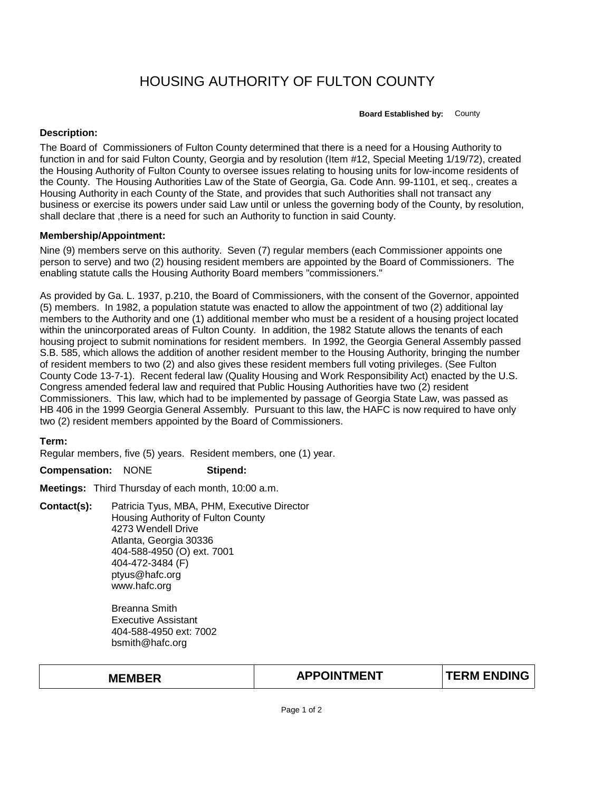## HOUSING AUTHORITY OF FULTON COUNTY

**Board Established by:** County

## **Description:**

The Board of Commissioners of Fulton County determined that there is a need for a Housing Authority to function in and for said Fulton County, Georgia and by resolution (Item #12, Special Meeting 1/19/72), created the Housing Authority of Fulton County to oversee issues relating to housing units for low-income residents of the County. The Housing Authorities Law of the State of Georgia, Ga. Code Ann. 99-1101, et seq., creates a Housing Authority in each County of the State, and provides that such Authorities shall not transact any business or exercise its powers under said Law until or unless the governing body of the County, by resolution, shall declare that ,there is a need for such an Authority to function in said County.

## **Membership/Appointment:**

Nine (9) members serve on this authority. Seven (7) regular members (each Commissioner appoints one person to serve) and two (2) housing resident members are appointed by the Board of Commissioners. The enabling statute calls the Housing Authority Board members "commissioners."

As provided by Ga. L. 1937, p.210, the Board of Commissioners, with the consent of the Governor, appointed (5) members. In 1982, a population statute was enacted to allow the appointment of two (2) additional lay members to the Authority and one (1) additional member who must be a resident of a housing project located within the unincorporated areas of Fulton County. In addition, the 1982 Statute allows the tenants of each housing project to submit nominations for resident members. In 1992, the Georgia General Assembly passed S.B. 585, which allows the addition of another resident member to the Housing Authority, bringing the number of resident members to two (2) and also gives these resident members full voting privileges. (See Fulton County Code 13-7-1). Recent federal law (Quality Housing and Work Responsibility Act) enacted by the U.S. Congress amended federal law and required that Public Housing Authorities have two (2) resident Commissioners. This law, which had to be implemented by passage of Georgia State Law, was passed as HB 406 in the 1999 Georgia General Assembly. Pursuant to this law, the HAFC is now required to have only two (2) resident members appointed by the Board of Commissioners.

**Term:**

Regular members, five (5) years. Resident members, one (1) year.

**Compensation:** NONE **Stipend:**

**Meetings:** Third Thursday of each month, 10:00 a.m.

**Contact(s):** Patricia Tyus, MBA, PHM, Executive Director Housing Authority of Fulton County 4273 Wendell Drive Atlanta, Georgia 30336 404-588-4950 (O) ext. 7001 404-472-3484 (F) ptyus@hafc.org www.hafc.org

> Breanna Smith Executive Assistant 404-588-4950 ext: 7002 bsmith@hafc.org

| <b>MEMBER</b> | <b>APPOINTMENT</b> | <b>TERM ENDING</b> |
|---------------|--------------------|--------------------|
|               |                    |                    |